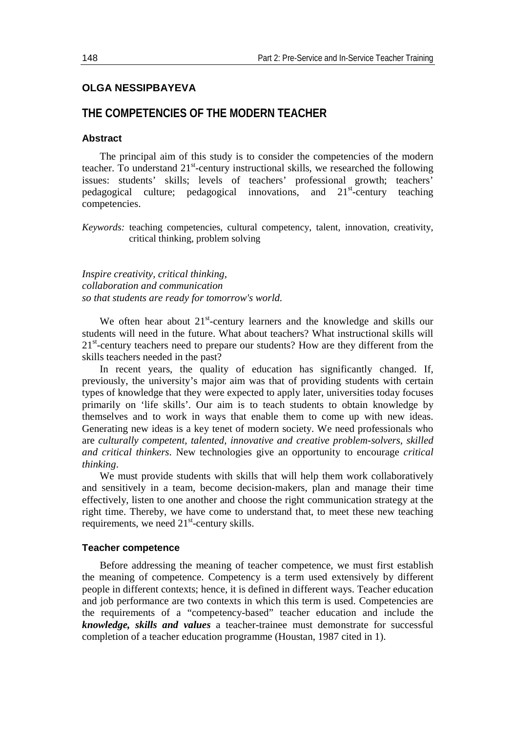# **OLGA NESSIPBAYEVA**

# **THE COMPETENCIES OF THE MODERN TEACHER**

### **Abstract**

The principal aim of this study is to consider the competencies of the modern teacher. To understand 21<sup>st</sup>-century instructional skills, we researched the following issues: students' skills; levels of teachers' professional growth; teachers' pedagogical culture; pedagogical innovations, and  $21<sup>st</sup>$ -century teaching competencies.

*Keywords:* teaching competencies, cultural competency, talent, innovation, creativity, critical thinking, problem solving

*Inspire creativity, critical thinking, collaboration and communication so that students are ready for tomorrow's world.*

We often hear about  $21^{st}$ -century learners and the knowledge and skills our students will need in the future. What about teachers? What instructional skills will 21<sup>st</sup>-century teachers need to prepare our students? How are they different from the skills teachers needed in the past?

In recent years, the quality of education has significantly changed. If, previously, the university's major aim was that of providing students with certain types of knowledge that they were expected to apply later, universities today focuses primarily on 'life skills'. Our aim is to teach students to obtain knowledge by themselves and to work in ways that enable them to come up with new ideas. Generating new ideas is a key tenet of modern society. We need professionals who are *culturally competent, talented, innovative and creative problem-solvers, skilled and critical thinkers*. New technologies give an opportunity to encourage *critical thinking*.

We must provide students with skills that will help them work collaboratively and sensitively in a team, become decision-makers, plan and manage their time effectively, listen to one another and choose the right communication strategy at the right time. Thereby, we have come to understand that, to meet these new teaching requirements, we need 21<sup>st</sup>-century skills.

### **Teacher competence**

Before addressing the meaning of teacher competence, we must first establish the meaning of competence. Competency is a term used extensively by different people in different contexts; hence, it is defined in different ways. Teacher education and job performance are two contexts in which this term is used. Competencies are the requirements of a "competency-based" teacher education and include the *knowledge, skills and values* a teacher-trainee must demonstrate for successful completion of a teacher education programme (Houstan, 1987 cited in 1).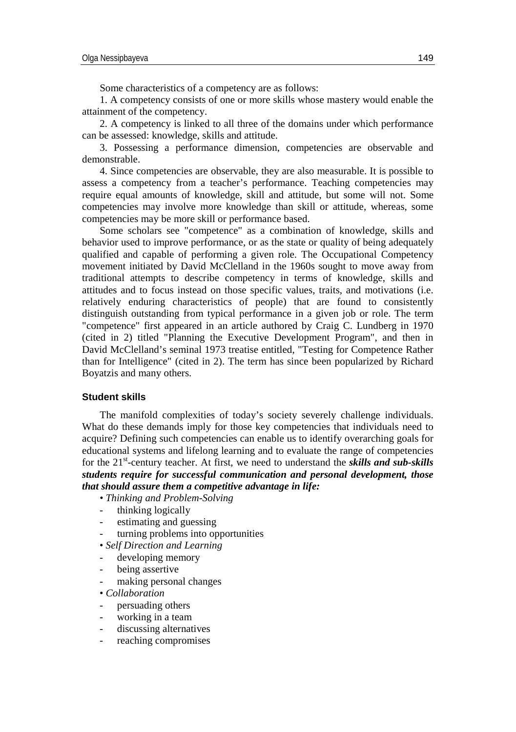Some characteristics of a competency are as follows:

1. A competency consists of one or more skills whose mastery would enable the attainment of the competency.

2. A competency is linked to all three of the domains under which performance can be assessed: knowledge, skills and attitude.

3. Possessing a performance dimension, competencies are observable and demonstrable.

4. Since competencies are observable, they are also measurable. It is possible to assess a competency from a teacher's performance. Teaching competencies may require equal amounts of knowledge, skill and attitude, but some will not. Some competencies may involve more knowledge than skill or attitude, whereas, some competencies may be more skill or performance based.

Some scholars see "competence" as a combination of [knowledge,](http://en.wikipedia.org/wiki/Knowledge) [skills](http://en.wikipedia.org/wiki/Skills) and [behavior](http://en.wikipedia.org/wiki/Behavior) used to improve performance, or as the state or quality of being adequately qualified and capable of performing a given [role.](http://en.wikipedia.org/wiki/Role) The Occupational Competency movement initiated by [David McClelland](http://en.wikipedia.org/wiki/David_McClelland) in the 1960s sought to move away from traditional attempts to describe competency in terms of [knowledge,](http://en.wikipedia.org/wiki/Knowledge) [skills](http://en.wikipedia.org/wiki/Skills) and [attitudes](http://en.wikipedia.org/wiki/Attitude_%28psychology%29) and to focus instead on those specific values, traits, and motivations (i.e. relatively enduring characteristics of people) that are found to consistently distinguish outstanding from typical performance in a given job or role. The term "competence" first appeared in an article authored by Craig C. Lundberg in 1970 (cited in 2) titled "Planning the Executive Development Program", and then in [David McClelland'](http://en.wikipedia.org/wiki/David_McClelland)s seminal 1973 treatise entitled, "Testing for Competence Rather than for Intelligence" (cited in 2). The term has since been popularized by [Richard](http://en.wikipedia.org/wiki/Richard_Boyatzis)  [Boyatzis](http://en.wikipedia.org/wiki/Richard_Boyatzis) and many others.

## **Student skills**

The manifold complexities of today's society severely challenge individuals. What do these demands imply for those key competencies that individuals need to acquire? Defining such competencies can enable us to identify overarching goals for educational systems and lifelong learning and to evaluate the range of competencies for the 21<sup>st</sup>-century teacher. At first, we need to understand the *skills and sub-skills students require for successful communication and personal development, those that should assure them a competitive advantage in life:*

• *Thinking and Problem-Solving*

- thinking logically
- estimating and guessing
- turning problems into opportunities
- *Self Direction and Learning*
- developing memory
- being assertive
- making personal changes
- *Collaboration*
- persuading others
- working in a team
- discussing alternatives
- reaching compromises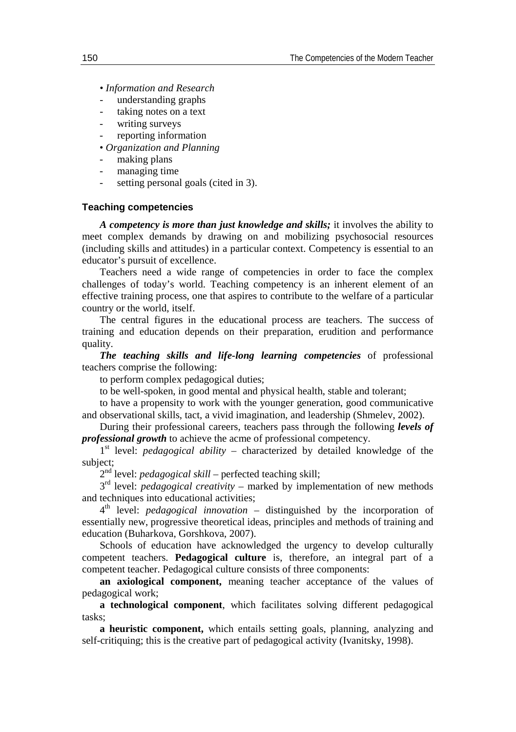- *Information and Research*
- understanding graphs
- taking notes on a text
- writing surveys
- reporting information
- *Organization and Planning*
- making plans
- managing time
- setting personal goals (cited in 3).

### **Teaching competencies**

*A competency is more than just knowledge and skills;* it involves the ability to meet complex demands by drawing on and mobilizing psychosocial resources (including skills and attitudes) in a particular context. Competency is essential to an educator's pursuit of excellence.

Teachers need a wide range of competencies in order to face the complex challenges of today's world. Teaching competency is an inherent element of an effective training process, one that aspires to contribute to the welfare of a particular country or the world, itself.

The central figures in the educational process are teachers. The success of training and education depends on their preparation, erudition and performance quality.

*The teaching skills and life-long learning competencies* of professional teachers comprise the following:

to perform complex pedagogical duties;

to be well-spoken, in good mental and physical health, stable and tolerant;

to have a propensity to work with the younger generation, good communicative and observational skills, tact, a vivid imagination, and leadership (Shmelev, 2002).

During their professional careers, teachers pass through the following *levels of professional growth* to achieve the acme of professional competency.

 $1<sup>st</sup>$  level: *pedagogical ability* – characterized by detailed knowledge of the subject;

2<sup>nd</sup> level: *pedagogical skill* – perfected teaching skill;

3<sup>rd</sup> level: *pedagogical creativity* – marked by implementation of new methods and techniques into educational activities;

4th level: *pedagogical innovation* – distinguished by the incorporation of essentially new, progressive theoretical ideas, principles and methods of training and education (Buharkova, Gorshkova, 2007).

Schools of education have acknowledged the urgency to develop culturally competent teachers. **Pedagogical culture** is, therefore, an integral part of a competent teacher. Pedagogical culture consists of three components:

**an axiological component,** meaning teacher acceptance of the values of pedagogical work;

**a technological component**, which facilitates solving different pedagogical tasks;

**a heuristic component,** which entails setting goals, planning, analyzing and self-critiquing; this is the creative part of pedagogical activity (Ivanitsky, 1998).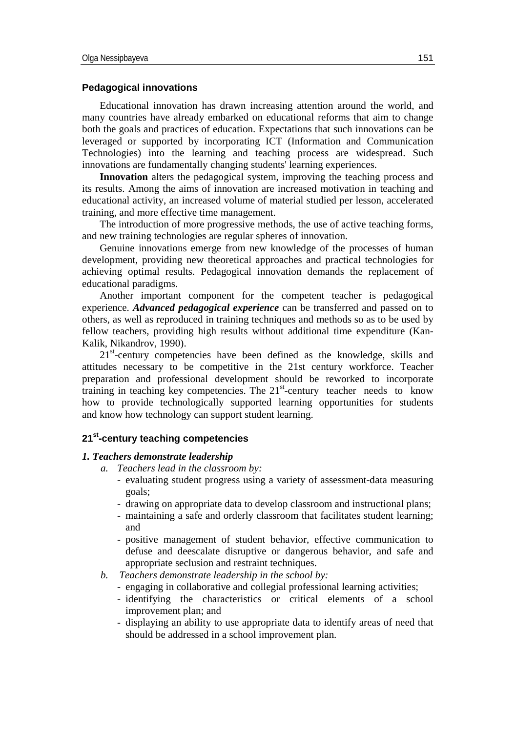## **Pedagogical innovations**

Educational innovation has drawn increasing attention around the world, and many countries have already embarked on educational reforms that aim to change both the goals and practices of education. Expectations that such innovations can be leveraged or supported by incorporating ICT (Information and Communication Technologies) into the learning and teaching process are widespread. Such innovations are fundamentally changing students' learning experiences.

**Innovation** alters the pedagogical system, improving the teaching process and its results. Among the aims of innovation are increased motivation in teaching and educational activity, an increased volume of material studied per lesson, accelerated training, and more effective time management.

The introduction of more progressive methods, the use of active teaching forms, and new training technologies are regular spheres of innovation.

Genuine innovations emerge from new knowledge of the processes of human development, providing new theoretical approaches and practical technologies for achieving optimal results. Pedagogical innovation demands the replacement of educational paradigms.

Another important component for the competent teacher is pedagogical experience. *Advanced pedagogical experience* can be transferred and passed on to others, as well as reproduced in training techniques and methods so as to be used by fellow teachers, providing high results without additional time expenditure (Kan-Kalik, Nikandrov, 1990).

21<sup>st</sup>-century competencies have been defined as the knowledge, skills and attitudes necessary to be competitive in the 21st century workforce. Teacher preparation and professional development should be reworked to incorporate training in teaching key competencies. The  $21<sup>st</sup>$ -century teacher needs to know how to provide technologically supported learning opportunities for students and know how technology can support student learning.

## **21st-century teaching competencies**

#### *1. Teachers demonstrate leadership*

- *a. Teachers lead in the classroom by:*
	- evaluating student progress using a variety of assessment-data measuring goals;
	- drawing on appropriate data to develop classroom and instructional plans;
	- maintaining a safe and orderly classroom that facilitates student learning; and
	- positive management of student behavior, effective communication to defuse and deescalate disruptive or dangerous behavior, and safe and appropriate seclusion and restraint techniques.
- *b. Teachers demonstrate leadership in the school by:*
	- engaging in collaborative and collegial professional learning activities;
	- identifying the characteristics or critical elements of a school improvement plan; and
	- displaying an ability to use appropriate data to identify areas of need that should be addressed in a school improvement plan.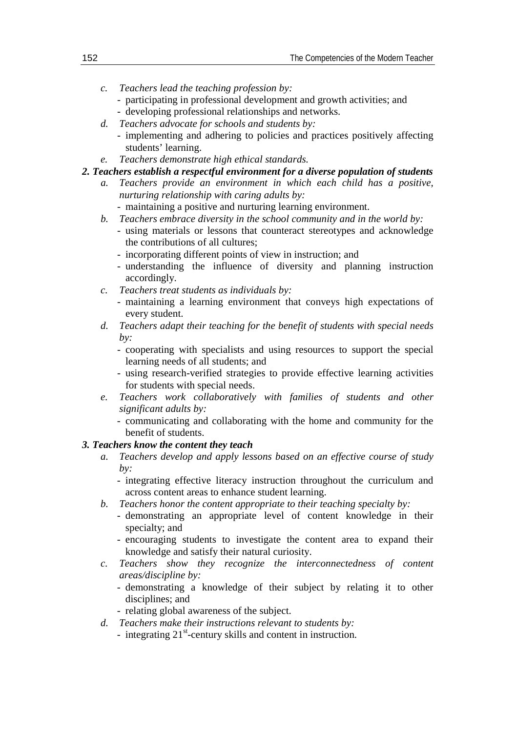- *c. Teachers lead the teaching profession by:*
	- participating in professional development and growth activities; and
	- developing professional relationships and networks.
- *d. Teachers advocate for schools and students by:* - implementing and adhering to policies and practices positively affecting students' learning.
- *e. Teachers demonstrate high ethical standards.*

# *2. Teachers establish a respectful environment for a diverse population of students*

- *a. Teachers provide an environment in which each child has a positive, nurturing relationship with caring adults by:*
	- maintaining a positive and nurturing learning environment.
- *b. Teachers embrace diversity in the school community and in the world by:*
	- using materials or lessons that counteract stereotypes and acknowledge the contributions of all cultures;
	- incorporating different points of view in instruction; and
	- understanding the influence of diversity and planning instruction accordingly.
- *c. Teachers treat students as individuals by:*
	- maintaining a learning environment that conveys high expectations of every student.
- *d. Teachers adapt their teaching for the benefit of students with special needs by:*
	- cooperating with specialists and using resources to support the special learning needs of all students; and
	- using research-verified strategies to provide effective learning activities for students with special needs.
- *e. Teachers work collaboratively with families of students and other significant adults by:*
	- communicating and collaborating with the home and community for the benefit of students.

## *3. Teachers know the content they teach*

- *a. Teachers develop and apply lessons based on an effective course of study by:*
	- integrating effective literacy instruction throughout the curriculum and across content areas to enhance student learning.
- *b. Teachers honor the content appropriate to their teaching specialty by:*
	- demonstrating an appropriate level of content knowledge in their specialty; and
	- encouraging students to investigate the content area to expand their knowledge and satisfy their natural curiosity.
- *c. Teachers show they recognize the interconnectedness of content areas/discipline by:*
	- demonstrating a knowledge of their subject by relating it to other disciplines; and
	- relating global awareness of the subject.
- *d. Teachers make their instructions relevant to students by:*
	- integrating  $21^{st}$ -century skills and content in instruction.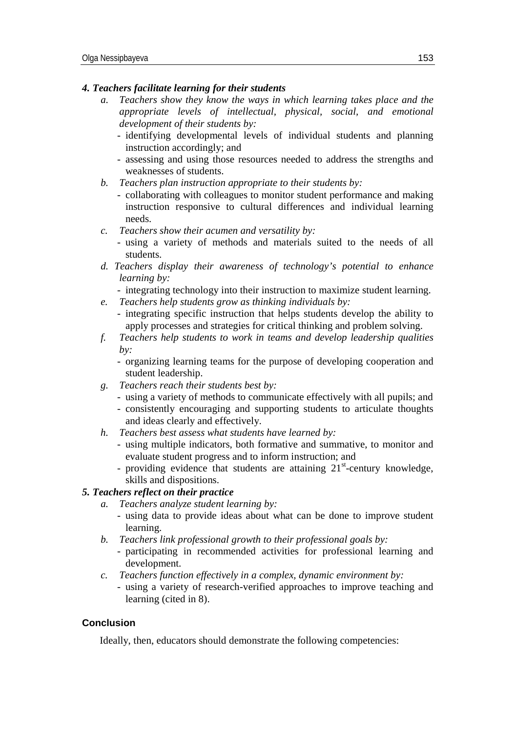## *4. Teachers facilitate learning for their students*

- *a. Teachers show they know the ways in which learning takes place and the appropriate levels of intellectual, physical, social, and emotional development of their students by:*
	- identifying developmental levels of individual students and planning instruction accordingly; and
	- assessing and using those resources needed to address the strengths and weaknesses of students.
- *b. Teachers plan instruction appropriate to their students by:*
	- collaborating with colleagues to monitor student performance and making instruction responsive to cultural differences and individual learning needs.
- *c. Teachers show their acumen and versatility by:*
	- using a variety of methods and materials suited to the needs of all students.
- *d. Teachers display their awareness of technology's potential to enhance learning by:*

- integrating technology into their instruction to maximize student learning.

- *e. Teachers help students grow as thinking individuals by:*
	- integrating specific instruction that helps students develop the ability to apply processes and strategies for critical thinking and problem solving.
- *f. Teachers help students to work in teams and develop leadership qualities by:*
	- organizing learning teams for the purpose of developing cooperation and student leadership.
- *g. Teachers reach their students best by:*
	- using a variety of methods to communicate effectively with all pupils; and
	- consistently encouraging and supporting students to articulate thoughts and ideas clearly and effectively.
- *h. Teachers best assess what students have learned by:*
	- using multiple indicators, both formative and summative, to monitor and evaluate student progress and to inform instruction; and
	- providing evidence that students are attaining 21<sup>st</sup>-century knowledge, skills and dispositions.

## *5. Teachers reflect on their practice*

- *a. Teachers analyze student learning by:*
	- using data to provide ideas about what can be done to improve student learning.
- *b. Teachers link professional growth to their professional goals by:*
	- participating in recommended activities for professional learning and development.
- *c. Teachers function effectively in a complex, dynamic environment by:*
	- using a variety of research-verified approaches to improve teaching and learning (cited in 8).

## **Conclusion**

Ideally, then, educators should demonstrate the following competencies: